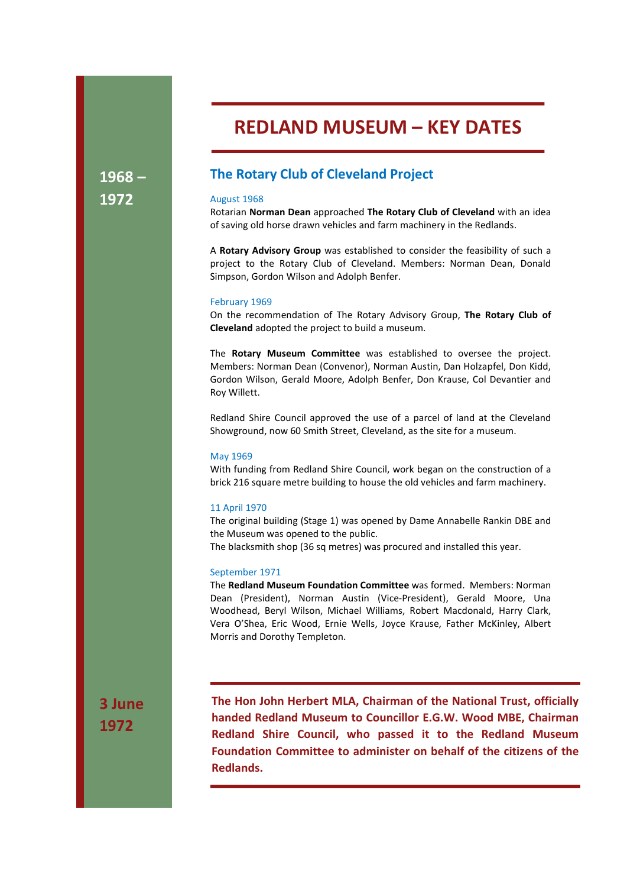# REDLAND MUSEUM – KEY DATES

1968 – 1972

# The Rotary Club of Cleveland Project

# August 1968

Rotarian Norman Dean approached The Rotary Club of Cleveland with an idea of saving old horse drawn vehicles and farm machinery in the Redlands.

A Rotary Advisory Group was established to consider the feasibility of such a project to the Rotary Club of Cleveland. Members: Norman Dean, Donald Simpson, Gordon Wilson and Adolph Benfer.

#### February 1969

On the recommendation of The Rotary Advisory Group, The Rotary Club of Cleveland adopted the project to build a museum.

The Rotary Museum Committee was established to oversee the project. Members: Norman Dean (Convenor), Norman Austin, Dan Holzapfel, Don Kidd, Gordon Wilson, Gerald Moore, Adolph Benfer, Don Krause, Col Devantier and Roy Willett.

Redland Shire Council approved the use of a parcel of land at the Cleveland Showground, now 60 Smith Street, Cleveland, as the site for a museum.

# May 1969

With funding from Redland Shire Council, work began on the construction of a brick 216 square metre building to house the old vehicles and farm machinery.

#### 11 April 1970

The original building (Stage 1) was opened by Dame Annabelle Rankin DBE and the Museum was opened to the public.

The blacksmith shop (36 sq metres) was procured and installed this year.

# September 1971

The Redland Museum Foundation Committee was formed. Members: Norman Dean (President), Norman Austin (Vice-President), Gerald Moore, Una Woodhead, Beryl Wilson, Michael Williams, Robert Macdonald, Harry Clark, Vera O'Shea, Eric Wood, Ernie Wells, Joyce Krause, Father McKinley, Albert Morris and Dorothy Templeton.

3 June 1972

The Hon John Herbert MLA, Chairman of the National Trust, officially handed Redland Museum to Councillor E.G.W. Wood MBE, Chairman Redland Shire Council, who passed it to the Redland Museum Foundation Committee to administer on behalf of the citizens of the Redlands.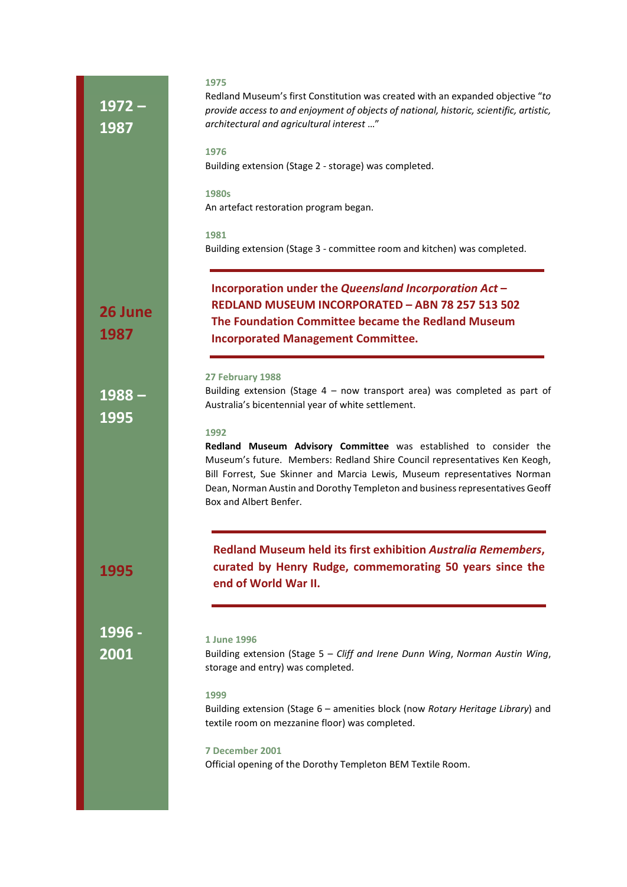| $1972 -$<br>1987 | 1975<br>Redland Museum's first Constitution was created with an expanded objective "to<br>provide access to and enjoyment of objects of national, historic, scientific, artistic,<br>architectural and agricultural interest "                                                                                                                                                                 |
|------------------|------------------------------------------------------------------------------------------------------------------------------------------------------------------------------------------------------------------------------------------------------------------------------------------------------------------------------------------------------------------------------------------------|
|                  | 1976<br>Building extension (Stage 2 - storage) was completed.                                                                                                                                                                                                                                                                                                                                  |
|                  | 1980s<br>An artefact restoration program began.                                                                                                                                                                                                                                                                                                                                                |
|                  | 1981<br>Building extension (Stage 3 - committee room and kitchen) was completed.                                                                                                                                                                                                                                                                                                               |
| 26 June<br>1987  | Incorporation under the Queensland Incorporation Act -<br><b>REDLAND MUSEUM INCORPORATED - ABN 78 257 513 502</b><br>The Foundation Committee became the Redland Museum<br><b>Incorporated Management Committee.</b>                                                                                                                                                                           |
| $1988 -$<br>1995 | 27 February 1988<br>Building extension (Stage $4$ – now transport area) was completed as part of<br>Australia's bicentennial year of white settlement.<br>1992<br>Redland Museum Advisory Committee was established to consider the<br>Museum's future. Members: Redland Shire Council representatives Ken Keogh,<br>Bill Forrest, Sue Skinner and Marcia Lewis, Museum representatives Norman |
| 1995             | Dean, Norman Austin and Dorothy Templeton and business representatives Geoff<br>Box and Albert Benfer.<br><b>Redland Museum held its first exhibition Australia Remembers,</b><br>curated by Henry Rudge, commemorating 50 years since the<br>end of World War II.                                                                                                                             |
| 1996 -<br>2001   | 1 June 1996<br>Building extension (Stage 5 - Cliff and Irene Dunn Wing, Norman Austin Wing,<br>storage and entry) was completed.                                                                                                                                                                                                                                                               |
|                  | 1999<br>Building extension (Stage 6 - amenities block (now Rotary Heritage Library) and<br>textile room on mezzanine floor) was completed.                                                                                                                                                                                                                                                     |
|                  | 7 December 2001<br>Official opening of the Dorothy Templeton BEM Textile Room.                                                                                                                                                                                                                                                                                                                 |
|                  |                                                                                                                                                                                                                                                                                                                                                                                                |